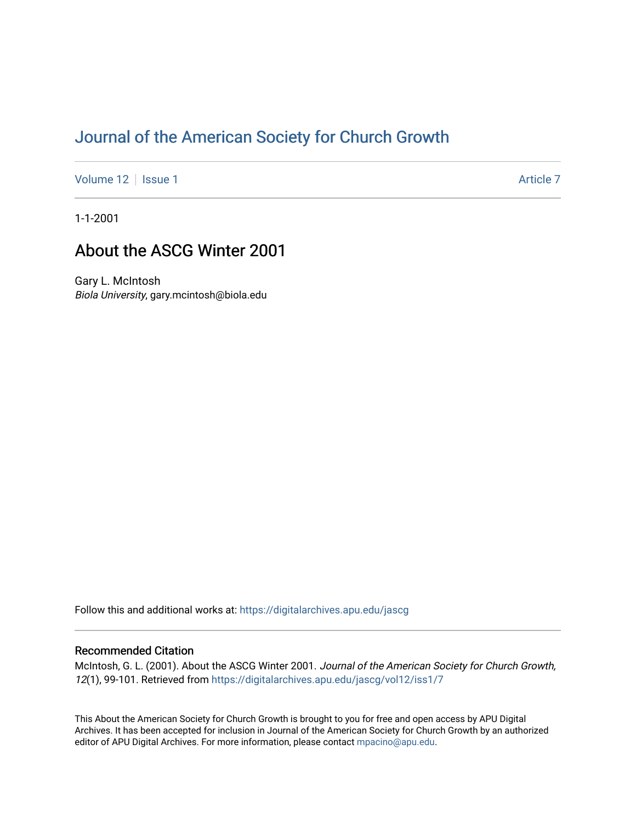# [Journal of the American Society for Church Growth](https://digitalarchives.apu.edu/jascg)

[Volume 12](https://digitalarchives.apu.edu/jascg/vol12) | [Issue 1](https://digitalarchives.apu.edu/jascg/vol12/iss1) Article 7

1-1-2001

# About the ASCG Winter 2001

Gary L. McIntosh Biola University, gary.mcintosh@biola.edu

Follow this and additional works at: [https://digitalarchives.apu.edu/jascg](https://digitalarchives.apu.edu/jascg?utm_source=digitalarchives.apu.edu%2Fjascg%2Fvol12%2Fiss1%2F7&utm_medium=PDF&utm_campaign=PDFCoverPages) 

### Recommended Citation

McIntosh, G. L. (2001). About the ASCG Winter 2001. Journal of the American Society for Church Growth, 12(1), 99-101. Retrieved from [https://digitalarchives.apu.edu/jascg/vol12/iss1/7](https://digitalarchives.apu.edu/jascg/vol12/iss1/7?utm_source=digitalarchives.apu.edu%2Fjascg%2Fvol12%2Fiss1%2F7&utm_medium=PDF&utm_campaign=PDFCoverPages)

This About the American Society for Church Growth is brought to you for free and open access by APU Digital Archives. It has been accepted for inclusion in Journal of the American Society for Church Growth by an authorized editor of APU Digital Archives. For more information, please contact [mpacino@apu.edu.](mailto:mpacino@apu.edu)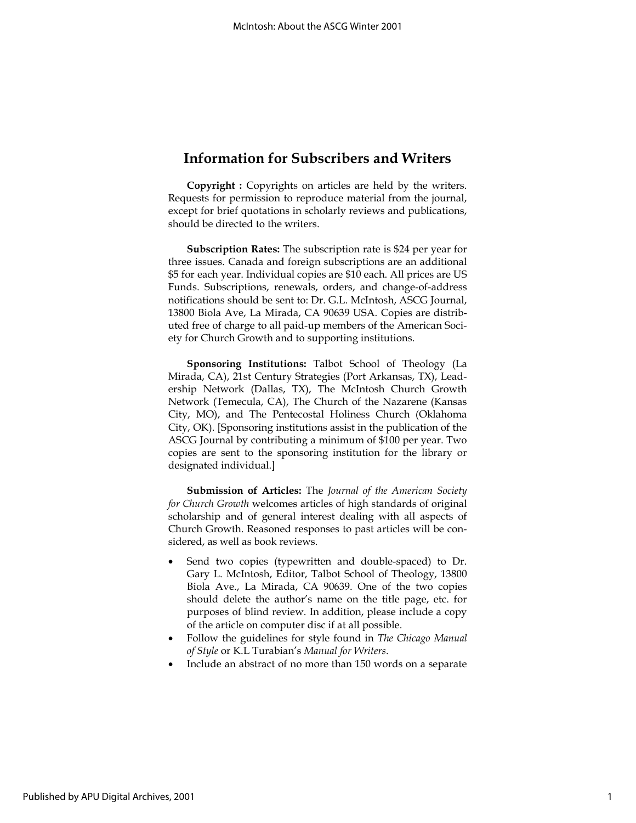### Information for Subscribers and Writers

Copyright : Copyrights on articles are held by the writers. Requests for permission to reproduce material from the journal, except for brief quotations in scholarly reviews and publications, should be directed to the writers.

Subscription Rates: The subscription rate is \$24 per year for three issues. Canada and foreign subscriptions are an additional \$5 for each year. Individual copies are \$10 each. All prices are US Funds. Subscriptions, renewals, orders, and change-of-address notifications should be sent to: Dr. G.L. McIntosh, ASCG Journal, 13800 Biola Ave, La Mirada, CA 90639 USA. Copies are distributed free of charge to all paid-up members of the American Society for Church Growth and to supporting institutions.

Sponsoring Institutions: Talbot School of Theology (La Mirada, CA), 21st Century Strategies (Port Arkansas, TX), Leadership Network (Dallas, TX), The McIntosh Church Growth Network (Temecula, CA), The Church of the Nazarene (Kansas City, MO), and The Pentecostal Holiness Church (Oklahoma City, OK). [Sponsoring institutions assist in the publication of the ASCG Journal by contributing a minimum of \$100 per year. Two copies are sent to the sponsoring institution for the library or designated individual.]

Submission of Articles: The Journal of the American Society for Church Growth welcomes articles of high standards of original scholarship and of general interest dealing with all aspects of Church Growth. Reasoned responses to past articles will be considered, as well as book reviews.

- Send two copies (typewritten and double-spaced) to Dr. Gary L. McIntosh, Editor, Talbot School of Theology, 13800 Biola Ave., La Mirada, CA 90639. One of the two copies should delete the author's name on the title page, etc. for purposes of blind review. In addition, please include a copy of the article on computer disc if at all possible.
- Follow the guidelines for style found in The Chicago Manual of Style or K.L Turabian's Manual for Writers.
- Include an abstract of no more than 150 words on a separate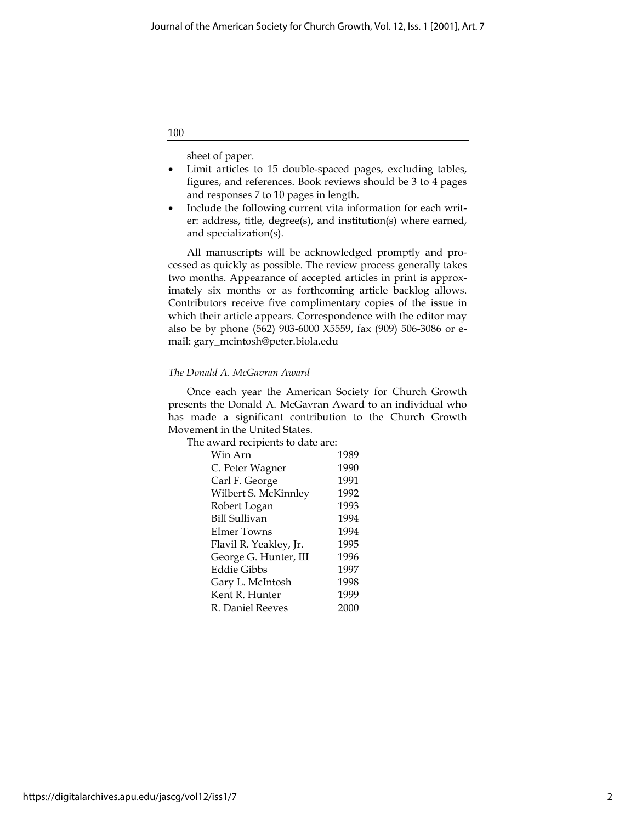100

sheet of paper.

- Limit articles to 15 double-spaced pages, excluding tables, figures, and references. Book reviews should be 3 to 4 pages and responses 7 to 10 pages in length.
- Include the following current vita information for each writer: address, title, degree(s), and institution(s) where earned, and specialization(s).

All manuscripts will be acknowledged promptly and processed as quickly as possible. The review process generally takes two months. Appearance of accepted articles in print is approximately six months or as forthcoming article backlog allows. Contributors receive five complimentary copies of the issue in which their article appears. Correspondence with the editor may also be by phone (562) 903-6000 X5559, fax (909) 506-3086 or email: gary\_mcintosh@peter.biola.edu

### The Donald A. McGavran Award

Once each year the American Society for Church Growth presents the Donald A. McGavran Award to an individual who has made a significant contribution to the Church Growth Movement in the United States.

The award recipients to date are:

| Win Arn                | 1989 |
|------------------------|------|
| C. Peter Wagner        | 1990 |
| Carl F. George         | 1991 |
| Wilbert S. McKinnley   | 1992 |
| Robert Logan           | 1993 |
| <b>Bill Sullivan</b>   | 1994 |
| Elmer Towns            | 1994 |
| Flavil R. Yeakley, Jr. | 1995 |
| George G. Hunter, III  | 1996 |
| Eddie Gibbs            | 1997 |
| Gary L. McIntosh       | 1998 |
| Kent R. Hunter         | 1999 |
| R. Daniel Reeves       | 2000 |
|                        |      |